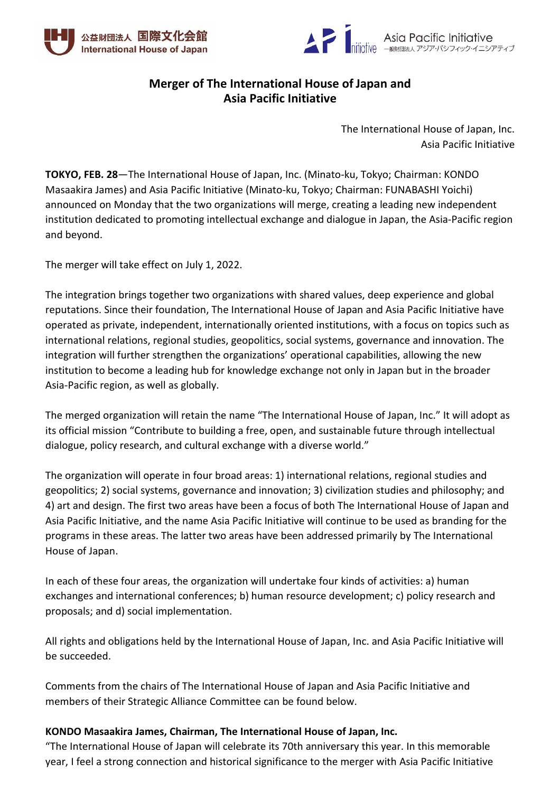



# **Merger of The International House of Japan and Asia Pacific Initiative**

The International House of Japan, Inc. Asia Pacific Initiative

**TOKYO, FEB. 28**—The International House of Japan, Inc. (Minato-ku, Tokyo; Chairman: KONDO Masaakira James) and Asia Pacific Initiative (Minato-ku, Tokyo; Chairman: FUNABASHI Yoichi) announced on Monday that the two organizations will merge, creating a leading new independent institution dedicated to promoting intellectual exchange and dialogue in Japan, the Asia-Pacific region and beyond.

The merger will take effect on July 1, 2022.

The integration brings together two organizations with shared values, deep experience and global reputations. Since their foundation, The International House of Japan and Asia Pacific Initiative have operated as private, independent, internationally oriented institutions, with a focus on topics such as international relations, regional studies, geopolitics, social systems, governance and innovation. The integration will further strengthen the organizations' operational capabilities, allowing the new institution to become a leading hub for knowledge exchange not only in Japan but in the broader Asia-Pacific region, as well as globally.

The merged organization will retain the name "The International House of Japan, Inc." It will adopt as its official mission "Contribute to building a free, open, and sustainable future through intellectual dialogue, policy research, and cultural exchange with a diverse world."

The organization will operate in four broad areas: 1) international relations, regional studies and geopolitics; 2) social systems, governance and innovation; 3) civilization studies and philosophy; and 4) art and design. The first two areas have been a focus of both The International House of Japan and Asia Pacific Initiative, and the name Asia Pacific Initiative will continue to be used as branding for the programs in these areas. The latter two areas have been addressed primarily by The International House of Japan.

In each of these four areas, the organization will undertake four kinds of activities: a) human exchanges and international conferences; b) human resource development; c) policy research and proposals; and d) social implementation.

All rights and obligations held by the International House of Japan, Inc. and Asia Pacific Initiative will be succeeded.

Comments from the chairs of The International House of Japan and Asia Pacific Initiative and members of their Strategic Alliance Committee can be found below.

## **KONDO Masaakira James, Chairman, The International House of Japan, Inc.**

"The International House of Japan will celebrate its 70th anniversary this year. In this memorable year, I feel a strong connection and historical significance to the merger with Asia Pacific Initiative